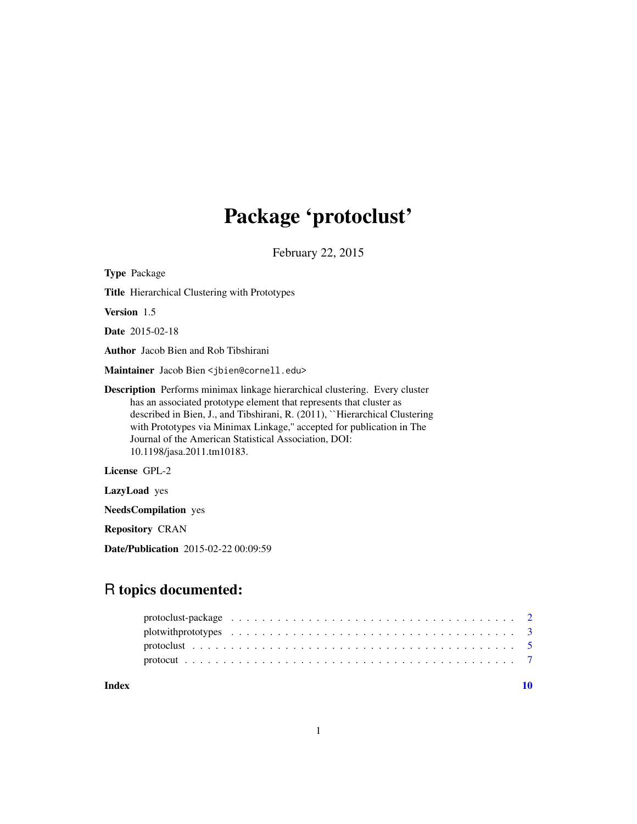# Package 'protoclust'

February 22, 2015

<span id="page-0-0"></span>

| <b>Type Package</b>                                                                                                                                                                                                                                                                                                                                                                                     |
|---------------------------------------------------------------------------------------------------------------------------------------------------------------------------------------------------------------------------------------------------------------------------------------------------------------------------------------------------------------------------------------------------------|
| <b>Title</b> Hierarchical Clustering with Prototypes                                                                                                                                                                                                                                                                                                                                                    |
| Version 1.5                                                                                                                                                                                                                                                                                                                                                                                             |
| <b>Date</b> 2015-02-18                                                                                                                                                                                                                                                                                                                                                                                  |
| <b>Author</b> Jacob Bien and Rob Tibshirani                                                                                                                                                                                                                                                                                                                                                             |
| Maintainer Jacob Bien < jbien@cornell.edu>                                                                                                                                                                                                                                                                                                                                                              |
| <b>Description</b> Performs minimax linkage hierarchical clustering. Every cluster<br>has an associated prototype element that represents that cluster as<br>described in Bien, J., and Tibshirani, R. (2011), "Hierarchical Clustering<br>with Prototypes via Minimax Linkage," accepted for publication in The<br>Journal of the American Statistical Association, DOI:<br>10.1198/jasa.2011.tm10183. |
| License GPL-2                                                                                                                                                                                                                                                                                                                                                                                           |
| <b>LazyLoad</b> yes                                                                                                                                                                                                                                                                                                                                                                                     |

NeedsCompilation yes

Repository CRAN

Date/Publication 2015-02-22 00:09:59

# R topics documented:

 $\blacksquare$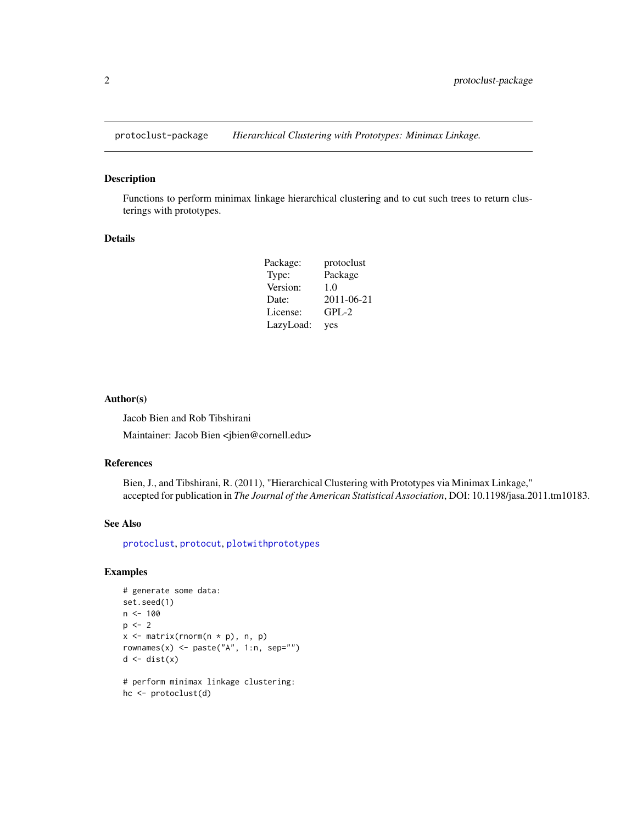<span id="page-1-0"></span>

#### Description

Functions to perform minimax linkage hierarchical clustering and to cut such trees to return clusterings with prototypes.

#### Details

| Package:  | protoclust |
|-----------|------------|
| Type:     | Package    |
| Version:  | 1.0        |
| Date:     | 2011-06-21 |
| License:  | $GPL-2$    |
| LazyLoad: | yes        |

#### Author(s)

Jacob Bien and Rob Tibshirani

Maintainer: Jacob Bien <jbien@cornell.edu>

# References

Bien, J., and Tibshirani, R. (2011), "Hierarchical Clustering with Prototypes via Minimax Linkage," accepted for publication in *The Journal of the American Statistical Association*, DOI: 10.1198/jasa.2011.tm10183.

#### See Also

[protoclust](#page-4-1), [protocut](#page-6-1), [plotwithprototypes](#page-2-1)

# Examples

```
# generate some data:
set.seed(1)
n < - 100p \le -2x \le matrix(rnorm(n * p), n, p)
rownames(x) \leq paste("A", 1:n, sep="")d \leftarrow dist(x)
```

```
# perform minimax linkage clustering:
hc <- protoclust(d)
```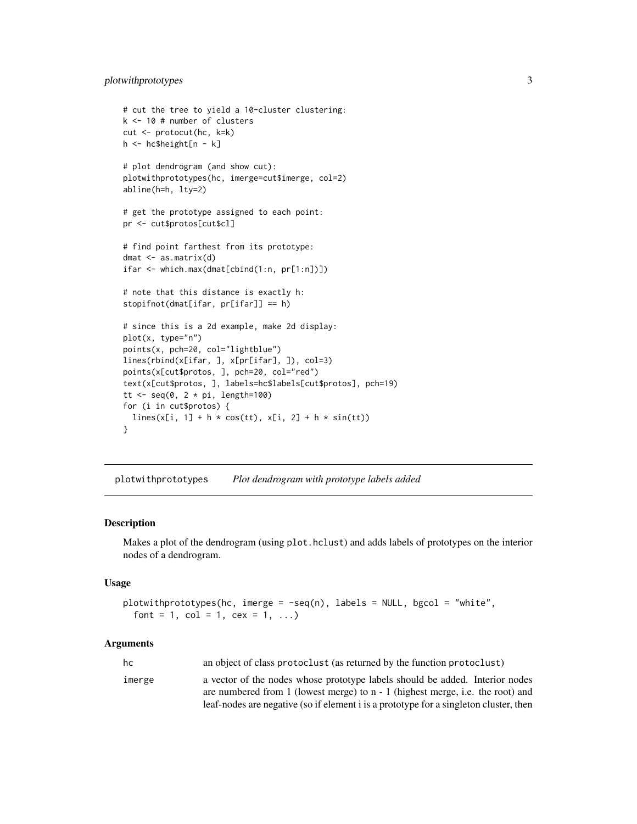# <span id="page-2-0"></span>plotwithprototypes 3

```
# cut the tree to yield a 10-cluster clustering:
k <- 10 # number of clusters
cut <- protocut(hc, k=k)
h <- hc$height[n - k]
# plot dendrogram (and show cut):
plotwithprototypes(hc, imerge=cut$imerge, col=2)
abline(h=h, lty=2)
# get the prototype assigned to each point:
pr <- cut$protos[cut$cl]
# find point farthest from its prototype:
dmat <- as.matrix(d)
ifar <- which.max(dmat[cbind(1:n, pr[1:n])])
# note that this distance is exactly h:
stopifnot(dmat[ifar, pr[ifar]] == h)
# since this is a 2d example, make 2d display:
plot(x, type="n")
points(x, pch=20, col="lightblue")
lines(rbind(x[ifar, ], x[pr[ifar], ]), col=3)
points(x[cut$protos, ], pch=20, col="red")
text(x[cut$protos, ], labels=hc$labels[cut$protos], pch=19)
tt <- seq(0, 2 * pi, length=100)for (i in cut$protos) {
  lines(x[i, 1] + h * cos(tt), x[i, 2] + h * sin(tt))
}
```
<span id="page-2-1"></span>plotwithprototypes *Plot dendrogram with prototype labels added*

#### Description

Makes a plot of the dendrogram (using plot.hclust) and adds labels of prototypes on the interior nodes of a dendrogram.

#### Usage

```
plotwithprototypes(hc, imerge = -seq(n), labels = NULL, bgcol = "white",
  font = 1, col = 1, cex = 1, ...)
```
#### Arguments

| hc     | an object of class protoclust (as returned by the function protoclust)                |
|--------|---------------------------------------------------------------------------------------|
| imerge | a vector of the nodes whose prototype labels should be added. Interior nodes          |
|        | are numbered from 1 (lowest merge) to $n - 1$ (highest merge, i.e. the root) and      |
|        | leaf-nodes are negative (so if element i is a prototype for a singleton cluster, then |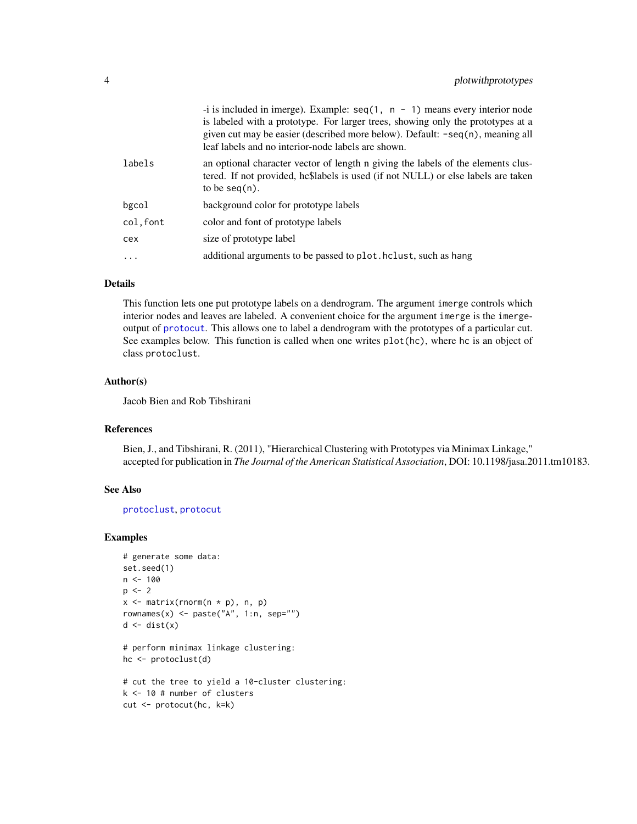<span id="page-3-0"></span>

|          | -i is included in imerge). Example: $seq(1, n - 1)$ means every interior node<br>is labeled with a prototype. For larger trees, showing only the prototypes at a<br>given cut may be easier (described more below). Default: -seq(n), meaning all<br>leaf labels and no interior-node labels are shown. |
|----------|---------------------------------------------------------------------------------------------------------------------------------------------------------------------------------------------------------------------------------------------------------------------------------------------------------|
| labels   | an optional character vector of length n giving the labels of the elements clus-<br>tered. If not provided, hc\$labels is used (if not NULL) or else labels are taken<br>to be $seq(n)$ .                                                                                                               |
| bgcol    | background color for prototype labels                                                                                                                                                                                                                                                                   |
| col.font | color and font of prototype labels                                                                                                                                                                                                                                                                      |
| cex      | size of prototype label                                                                                                                                                                                                                                                                                 |
| .        | additional arguments to be passed to plot. holist, such as hang                                                                                                                                                                                                                                         |
|          |                                                                                                                                                                                                                                                                                                         |

# Details

This function lets one put prototype labels on a dendrogram. The argument imerge controls which interior nodes and leaves are labeled. A convenient choice for the argument imerge is the imergeoutput of [protocut](#page-6-1). This allows one to label a dendrogram with the prototypes of a particular cut. See examples below. This function is called when one writes plot(hc), where hc is an object of class protoclust.

#### Author(s)

Jacob Bien and Rob Tibshirani

### References

Bien, J., and Tibshirani, R. (2011), "Hierarchical Clustering with Prototypes via Minimax Linkage," accepted for publication in *The Journal of the American Statistical Association*, DOI: 10.1198/jasa.2011.tm10183.

# See Also

[protoclust](#page-4-1), [protocut](#page-6-1)

#### Examples

```
# generate some data:
set.seed(1)
n < - 100p \le -2x \le matrix(rnorm(n * p), n, p)
rownames(x) <- paste("A", 1:n, sep="")
d \leftarrow dist(x)# perform minimax linkage clustering:
hc <- protoclust(d)
```

```
# cut the tree to yield a 10-cluster clustering:
k <- 10 # number of clusters
cut <- protocut(hc, k=k)
```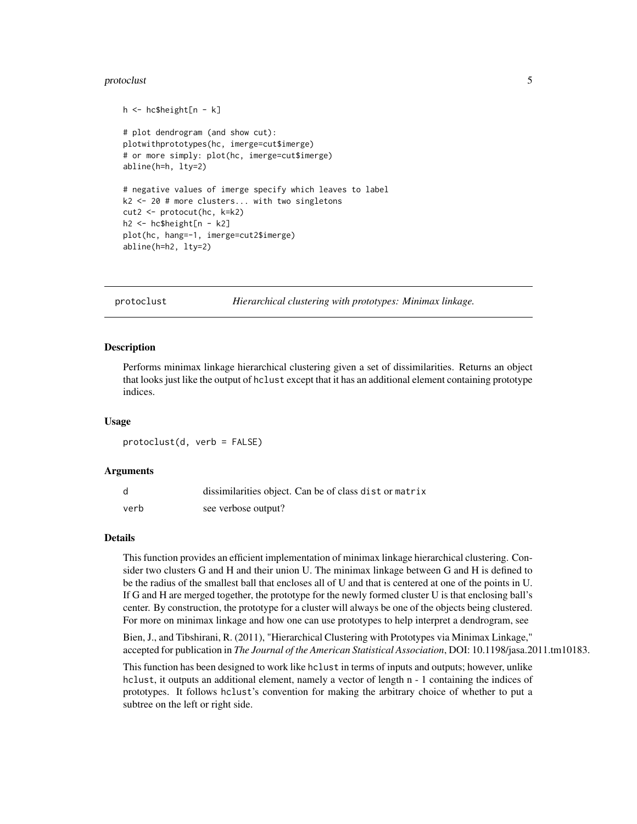#### <span id="page-4-0"></span>protoclust 5

```
h <- hc$height[n - k]
# plot dendrogram (and show cut):
plotwithprototypes(hc, imerge=cut$imerge)
# or more simply: plot(hc, imerge=cut$imerge)
abline(h=h, lty=2)
# negative values of imerge specify which leaves to label
k2 <- 20 # more clusters... with two singletons
cut2 <- protocut(hc, k=k2)
h2 <- hc$height[n - k2]
plot(hc, hang=-1, imerge=cut2$imerge)
abline(h=h2, lty=2)
```
<span id="page-4-1"></span>protoclust *Hierarchical clustering with prototypes: Minimax linkage.*

#### Description

Performs minimax linkage hierarchical clustering given a set of dissimilarities. Returns an object that looks just like the output of hclust except that it has an additional element containing prototype indices.

#### Usage

protoclust(d, verb = FALSE)

#### Arguments

|      | dissimilarities object. Can be of class dist or matrix |
|------|--------------------------------------------------------|
| verb | see verbose output?                                    |

### Details

This function provides an efficient implementation of minimax linkage hierarchical clustering. Consider two clusters G and H and their union U. The minimax linkage between G and H is defined to be the radius of the smallest ball that encloses all of U and that is centered at one of the points in U. If G and H are merged together, the prototype for the newly formed cluster U is that enclosing ball's center. By construction, the prototype for a cluster will always be one of the objects being clustered. For more on minimax linkage and how one can use prototypes to help interpret a dendrogram, see

Bien, J., and Tibshirani, R. (2011), "Hierarchical Clustering with Prototypes via Minimax Linkage," accepted for publication in *The Journal of the American Statistical Association*, DOI: 10.1198/jasa.2011.tm10183.

This function has been designed to work like hclust in terms of inputs and outputs; however, unlike hclust, it outputs an additional element, namely a vector of length n - 1 containing the indices of prototypes. It follows hclust's convention for making the arbitrary choice of whether to put a subtree on the left or right side.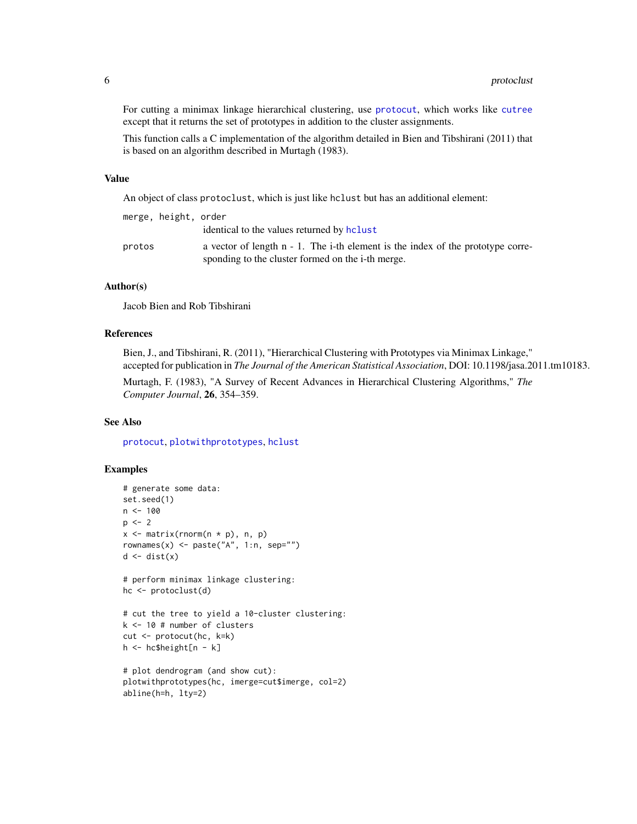<span id="page-5-0"></span>For cutting a minimax linkage hierarchical clustering, use [protocut](#page-6-1), which works like [cutree](#page-0-0) except that it returns the set of prototypes in addition to the cluster assignments.

This function calls a C implementation of the algorithm detailed in Bien and Tibshirani (2011) that is based on an algorithm described in Murtagh (1983).

#### Value

An object of class protoclust, which is just like hclust but has an additional element:

|        | merge, height, order |                                                                                    |
|--------|----------------------|------------------------------------------------------------------------------------|
|        |                      | identical to the values returned by holist                                         |
| protos |                      | a vector of length $n - 1$ . The i-th element is the index of the prototype corre- |
|        |                      | sponding to the cluster formed on the i-th merge.                                  |

# Author(s)

Jacob Bien and Rob Tibshirani

# References

Bien, J., and Tibshirani, R. (2011), "Hierarchical Clustering with Prototypes via Minimax Linkage," accepted for publication in *The Journal of the American Statistical Association*, DOI: 10.1198/jasa.2011.tm10183.

Murtagh, F. (1983), "A Survey of Recent Advances in Hierarchical Clustering Algorithms," *The Computer Journal*, 26, 354–359.

#### See Also

[protocut](#page-6-1), [plotwithprototypes](#page-2-1), [hclust](#page-0-0)

#### Examples

```
# generate some data:
set.seed(1)
n < - 100p \le -2x \le matrix(rnorm(n * p), n, p)
rownames(x) <- paste("A", 1:n, sep="")
d \leftarrow dist(x)# perform minimax linkage clustering:
hc <- protoclust(d)
# cut the tree to yield a 10-cluster clustering:
k <- 10 # number of clusters
cut <- protocut(hc, k=k)
h <- hc$height[n - k]
# plot dendrogram (and show cut):
plotwithprototypes(hc, imerge=cut$imerge, col=2)
abline(h=h, lty=2)
```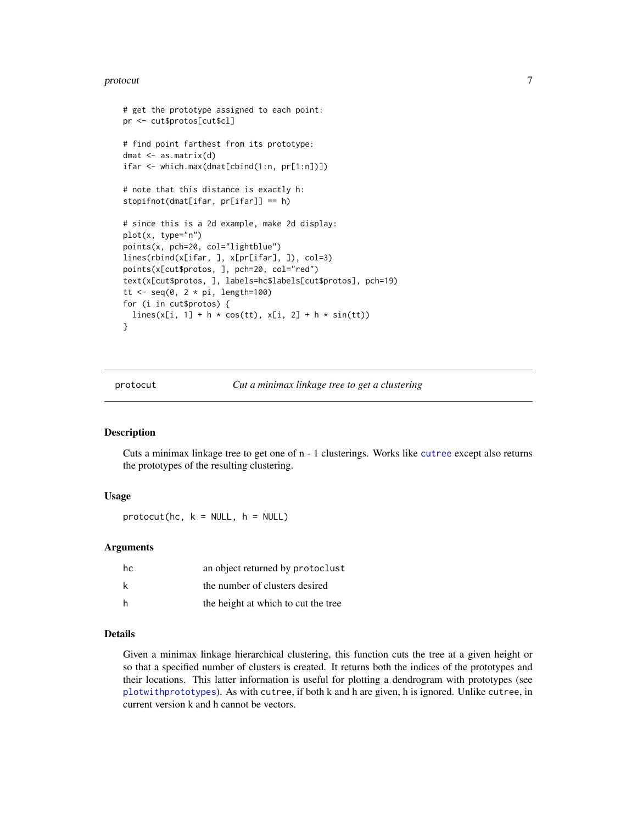#### <span id="page-6-0"></span>protocut 7 and 2008 and 2008 and 2008 and 2008 and 2008 and 2008 and 2008 and 2008 and 2008 and 2008 and 2008 and 2008 and 2008 and 2008 and 2008 and 2008 and 2008 and 2008 and 2008 and 2008 and 2008 and 2008 and 2008 and

```
# get the prototype assigned to each point:
pr <- cut$protos[cut$cl]
# find point farthest from its prototype:
dmat <- as.matrix(d)
ifar <- which.max(dmat[cbind(1:n, pr[1:n])])
# note that this distance is exactly h:
stopifnot(dmat[ifar, pr[ifar]] == h)
# since this is a 2d example, make 2d display:
plot(x, type="n")
points(x, pch=20, col="lightblue")
lines(rbind(x[ifar, ], x[pr[ifar], ]), col=3)
points(x[cut$protos, ], pch=20, col="red")
text(x[cut$protos, ], labels=hc$labels[cut$protos], pch=19)
tt <- seq(0, 2 * pi, length=100)for (i in cut$protos) {
 lines(x[i, 1] + h * cos(tt), x[i, 2] + h * sin(tt))
}
```
<span id="page-6-1"></span>protocut *Cut a minimax linkage tree to get a clustering*

#### Description

Cuts a minimax linkage tree to get one of n - 1 clusterings. Works like [cutree](#page-0-0) except also returns the prototypes of the resulting clustering.

#### Usage

 $protocol(hc, k = NULL, h = NULL)$ 

#### Arguments

| hc | an object returned by protoclust    |
|----|-------------------------------------|
| k  | the number of clusters desired      |
| h  | the height at which to cut the tree |

#### Details

Given a minimax linkage hierarchical clustering, this function cuts the tree at a given height or so that a specified number of clusters is created. It returns both the indices of the prototypes and their locations. This latter information is useful for plotting a dendrogram with prototypes (see [plotwithprototypes](#page-2-1)). As with cutree, if both k and h are given, h is ignored. Unlike cutree, in current version k and h cannot be vectors.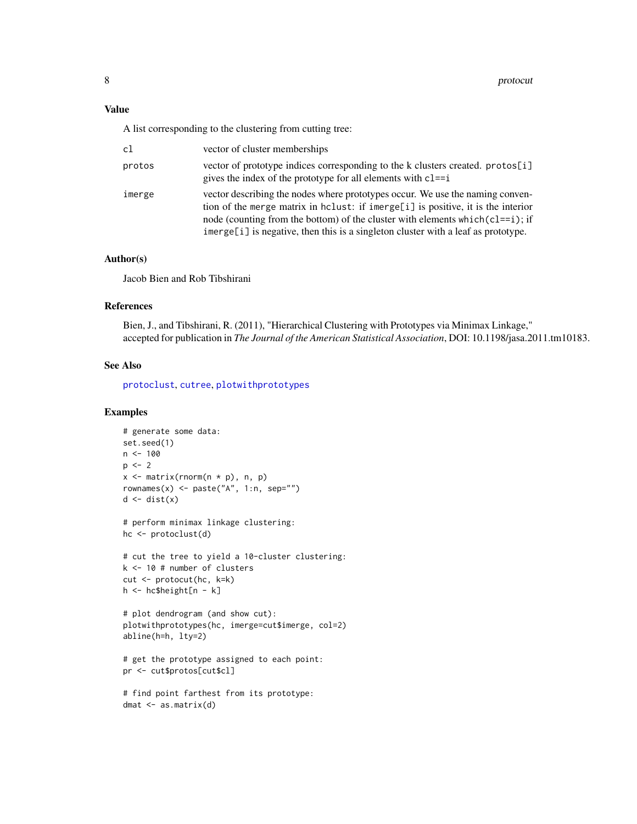<span id="page-7-0"></span>A list corresponding to the clustering from cutting tree:

| c1     | vector of cluster memberships                                                                                                                                                                                                                                                                                                               |
|--------|---------------------------------------------------------------------------------------------------------------------------------------------------------------------------------------------------------------------------------------------------------------------------------------------------------------------------------------------|
| protos | vector of prototype indices corresponding to the k clusters created. protos[i]<br>gives the index of the prototype for all elements with $cl==i$                                                                                                                                                                                            |
| imerge | vector describing the nodes where prototypes occur. We use the naming conven-<br>tion of the merge matrix in holust: if imerge[i] is positive, it is the interior<br>node (counting from the bottom) of the cluster with elements which $(c = i)$ ; if<br>imerge[i] is negative, then this is a singleton cluster with a leaf as prototype. |

### Author(s)

Jacob Bien and Rob Tibshirani

# References

Bien, J., and Tibshirani, R. (2011), "Hierarchical Clustering with Prototypes via Minimax Linkage," accepted for publication in *The Journal of the American Statistical Association*, DOI: 10.1198/jasa.2011.tm10183.

# See Also

[protoclust](#page-4-1), [cutree](#page-0-0), [plotwithprototypes](#page-2-1)

# Examples

```
# generate some data:
set.seed(1)
n < -100p \le -2x \le matrix(rnorm(n * p), n, p)
rownames(x) \leq paste("A", 1:n, sep="")
d \leftarrow dist(x)# perform minimax linkage clustering:
```
hc <- protoclust(d)

```
# cut the tree to yield a 10-cluster clustering:
k <- 10 # number of clusters
cut <- protocut(hc, k=k)
h <- hc$height[n - k]
```

```
# plot dendrogram (and show cut):
plotwithprototypes(hc, imerge=cut$imerge, col=2)
abline(h=h, lty=2)
```

```
# get the prototype assigned to each point:
pr <- cut$protos[cut$cl]
```

```
# find point farthest from its prototype:
dmat <- as.matrix(d)
```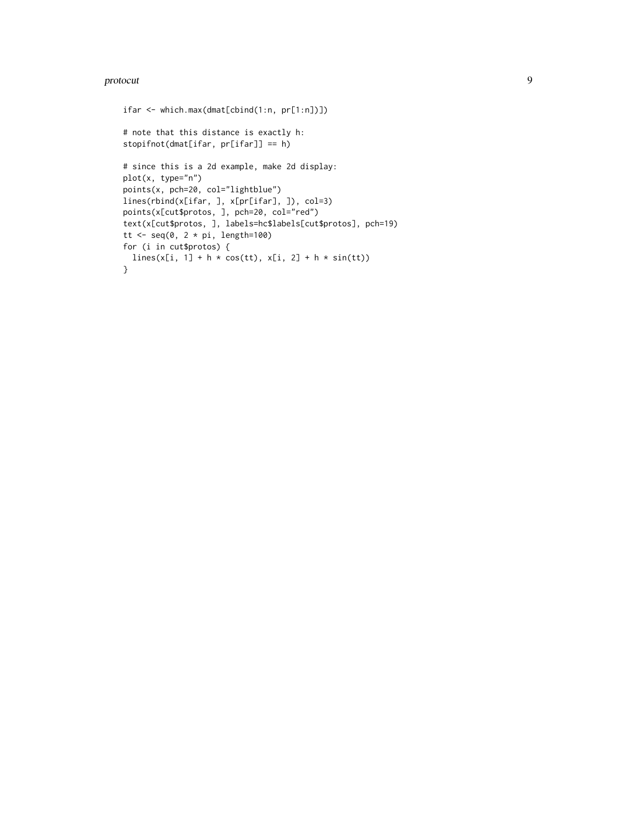#### protocut and the set of the set of the set of the set of the set of the set of the set of the set of the set of the set of the set of the set of the set of the set of the set of the set of the set of the set of the set of

```
ifar <- which.max(dmat[cbind(1:n, pr[1:n])])
# note that this distance is exactly h:
stopifnot(dmat[ifar, pr[ifar]] == h)
# since this is a 2d example, make 2d display:
plot(x, type="n")
points(x, pch=20, col="lightblue")
lines(rbind(x[ifar, ], x[pr[ifar], ]), col=3)
points(x[cut$protos, ], pch=20, col="red")
text(x[cut$protos, ], labels=hc$labels[cut$protos], pch=19)
tt <- seq(0, 2 * pi, length=100)for (i in cut$protos) {
  lines(x[i, 1] + h * cos(tt), x[i, 2] + h * sin(tt))
}
```